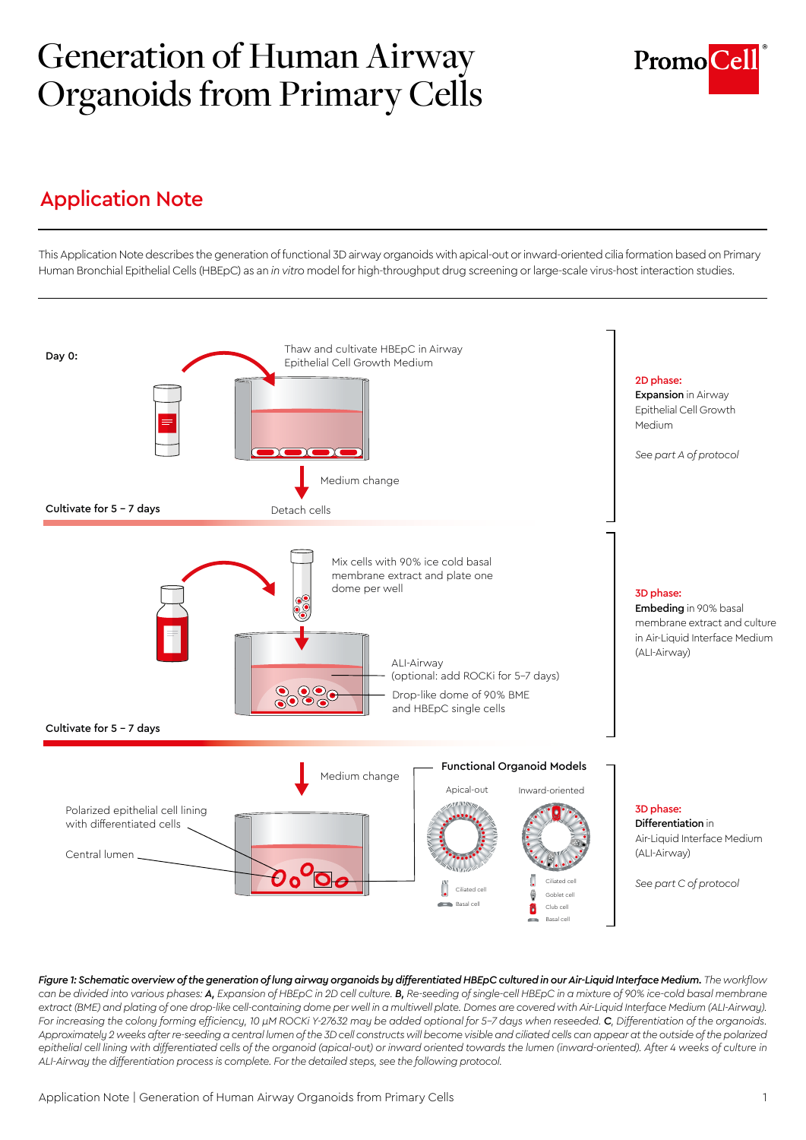# Generation of Human Airway Organoids from Primary Cells



## Application Note

This Application Note describes the generation of functional 3D airway organoids with apical-out or inward-oriented cilia formation based on Primary Human Bronchial Epithelial Cells (HBEpC) as an *in vitro* model for high-throughput drug screening or large-scale virus-host interaction studies.



*Figure 1: Schematic overview of the generation of lung airway organoids by differentiated HBEpC cultured in our Air-Liquid Interface Medium. The workflow*  can be divided into various phases: **A**, Expansion of HBEpC in 2D cell culture. **B**, Re-seeding of single-cell HBEpC in a mixture of 90% ice-cold basal membrane extract (BME) and plating of one drop-like cell-containing dome per well in a multiwell plate. Domes are covered with Air-Liquid Interface Medium (ALI-Airway). *For increasing the colony forming efficiency, 10 µM ROCKi Y-27632 may be added optional for 5-7 days when reseeded. C, Differentiation of the organoids.*  Approximately 2 weeks after re-seeding a central lumen of the 3D cell constructs will become visible and ciliated cells can appear at the outside of the polarized epithelial cell lining with differentiated cells of the organoid (apical-out) or inward oriented towards the lumen (inward-oriented). After 4 weeks of culture in *ALI-Airway the differentiation process is complete. For the detailed steps, see the following protocol.*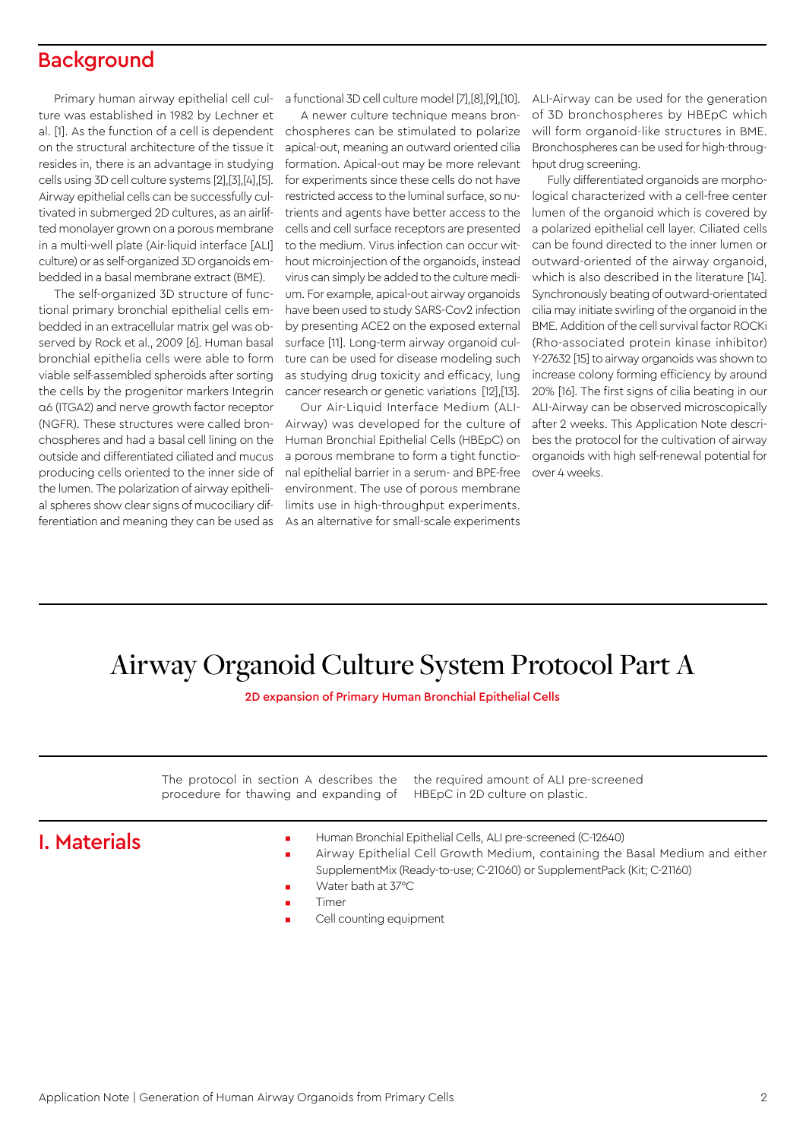## **Background**

Primary human airway epithelial cell culture was established in 1982 by Lechner et al. [1]. As the function of a cell is dependent on the structural architecture of the tissue it resides in, there is an advantage in studying cells using 3D cell culture systems [2],[3],[4],[5]. Airway epithelial cells can be successfully cultivated in submerged 2D cultures, as an airlifted monolayer grown on a porous membrane in a multi-well plate (Air-liquid interface [ALI] culture) or as self-organized 3D organoids embedded in a basal membrane extract (BME).

The self-organized 3D structure of functional primary bronchial epithelial cells embedded in an extracellular matrix gel was observed by Rock et al., 2009 [6]. Human basal bronchial epithelia cells were able to form viable self-assembled spheroids after sorting the cells by the progenitor markers Integrin α6 (ITGA2) and nerve growth factor receptor (NGFR). These structures were called bronchospheres and had a basal cell lining on the outside and differentiated ciliated and mucus producing cells oriented to the inner side of the lumen. The polarization of airway epithelial spheres show clear signs of mucociliary differentiation and meaning they can be used as

a functional 3D cell culture model [7],[8],[9],[10].

A newer culture technique means bronchospheres can be stimulated to polarize apical-out, meaning an outward oriented cilia formation. Apical-out may be more relevant for experiments since these cells do not have restricted access to the luminal surface, so nutrients and agents have better access to the cells and cell surface receptors are presented to the medium. Virus infection can occur without microinjection of the organoids, instead virus can simply be added to the culture medium. For example, apical-out airway organoids have been used to study SARS-Cov2 infection by presenting ACE2 on the exposed external surface [11]. Long-term airway organoid culture can be used for disease modeling such as studying drug toxicity and efficacy, lung cancer research or genetic variations [12],[13].

Our Air-Liquid Interface Medium (ALI-Airway) was developed for the culture of Human Bronchial Epithelial Cells (HBEpC) on a porous membrane to form a tight functional epithelial barrier in a serum- and BPE-free over 4 weeks. environment. The use of porous membrane limits use in high-throughput experiments. As an alternative for small-scale experiments

ALI-Airway can be used for the generation of 3D bronchospheres by HBEpC which will form organoid-like structures in BME. Bronchospheres can be used for high-throughput drug screening.

Fully differentiated organoids are morphological characterized with a cell-free center lumen of the organoid which is covered by a polarized epithelial cell layer. Ciliated cells can be found directed to the inner lumen or outward-oriented of the airway organoid, which is also described in the literature [14]. Synchronously beating of outward-orientated cilia may initiate swirling of the organoid in the BME. Addition of the cell survival factor ROCKi (Rho-associated protein kinase inhibitor) Y-27632 [15] to airway organoids was shown to increase colony forming efficiency by around 20% [16]. The first signs of cilia beating in our ALI-Airway can be observed microscopically after 2 weeks. This Application Note describes the protocol for the cultivation of airway organoids with high self-renewal potential for

# Airway Organoid Culture System Protocol Part A

2D expansion of Primary Human Bronchial Epithelial Cells

The protocol in section A describes the procedure for thawing and expanding of

the required amount of ALI pre-screened HBEpC in 2D culture on plastic.

## I. Materials

- Human Bronchial Epithelial Cells, ALI pre-screened (C-12640)
- Airway Epithelial Cell Growth Medium, containing the Basal Medium and either SupplementMix (Ready-to-use; C-21060) or SupplementPack (Kit; C-21160)
- Water bath at 37°C
- Timer
- Cell counting equipment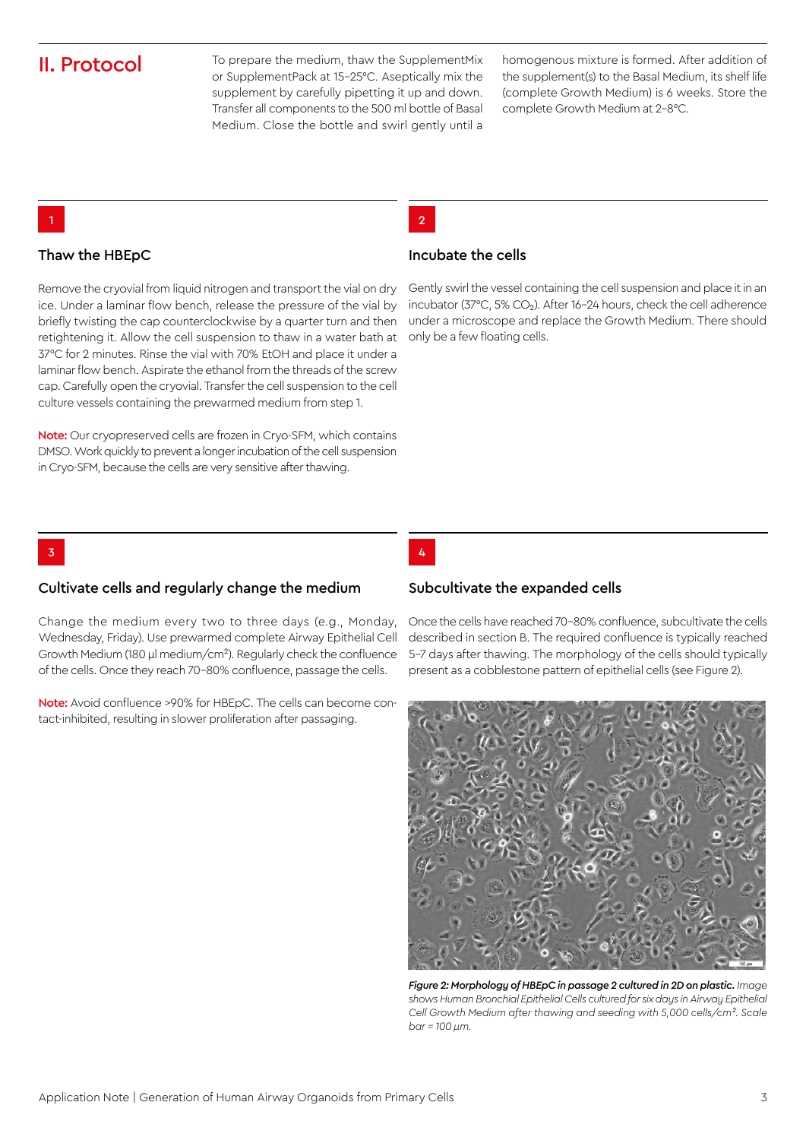## II. Protocol

To prepare the medium, thaw the SupplementMix or SupplementPack at 15-25°C. Aseptically mix the supplement by carefully pipetting it up and down. Transfer all components to the 500 ml bottle of Basal Medium. Close the bottle and swirl gently until a homogenous mixture is formed. After addition of the supplement(s) to the Basal Medium, its shelf life (complete Growth Medium) is 6 weeks. Store the complete Growth Medium at 2-8°C.

### 2

#### Thaw the HBEpC

1

3

Remove the cryovial from liquid nitrogen and transport the vial on dry ice. Under a laminar flow bench, release the pressure of the vial by briefly twisting the cap counterclockwise by a quarter turn and then retightening it. Allow the cell suspension to thaw in a water bath at 37°C for 2 minutes. Rinse the vial with 70% EtOH and place it under a laminar flow bench. Aspirate the ethanol from the threads of the screw cap. Carefully open the cryovial. Transfer the cell suspension to the cell culture vessels containing the prewarmed medium from step 1.

Note: Our cryopreserved cells are frozen in Cryo-SFM, which contains DMSO. Work quickly to prevent a longer incubation of the cell suspension in Cryo-SFM, because the cells are very sensitive after thawing.

#### Incubate the cells

Gently swirl the vessel containing the cell suspension and place it in an incubator (37°C, 5% CO<sub>2</sub>). After 16-24 hours, check the cell adherence under a microscope and replace the Growth Medium. There should only be a few floating cells.

4

#### Subcultivate the expanded cells

Change the medium every two to three days (e.g., Monday,

Note: Avoid confluence >90% for HBEpC. The cells can become con-

Once the cells have reached 70-80% confluence, subcultivate the cells described in section B. The required confluence is typically reached 5-7 days after thawing. The morphology of the cells should typically present as a cobblestone pattern of epithelial cells (see Figure 2).



*Figure 2: Morphology of HBEpC in passage 2 cultured in 2D on plastic. Image shows Human Bronchial Epithelial Cells cultured for six days in Airway Epithelial Cell Growth Medium after thawing and seeding with 5,000 cells/cm². Scale bar = 100 µm.*

## Cultivate cells and regularly change the medium

Wednesday, Friday). Use prewarmed complete Airway Epithelial Cell Growth Medium (180 µl medium/cm²). Regularly check the confluence of the cells. Once they reach 70-80% confluence, passage the cells.

tact-inhibited, resulting in slower proliferation after passaging.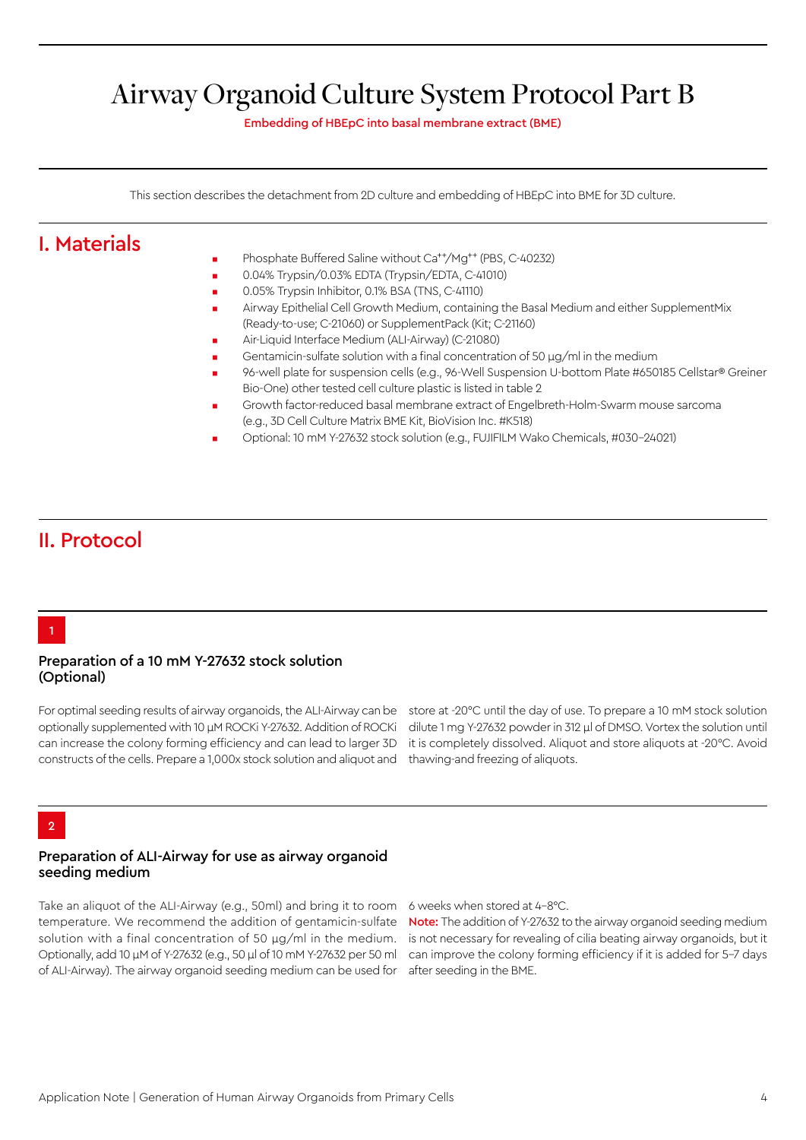# Airway Organoid Culture System Protocol Part B

Embedding of HBEpC into basal membrane extract (BME)

This section describes the detachment from 2D culture and embedding of HBEpC into BME for 3D culture.

## I. Materials

- Phosphate Buffered Saline without Ca<sup>++</sup>/Mg<sup>++</sup> (PBS, C-40232)
- 0.04% Trypsin/0.03% EDTA (Trypsin/EDTA, C-41010)
- 0.05% Trypsin Inhibitor, 0.1% BSA (TNS, C-41110)
- Airway Epithelial Cell Growth Medium, containing the Basal Medium and either SupplementMix (Ready-to-use; C-21060) or SupplementPack (Kit; C-21160)
- Air-Liquid Interface Medium (ALI-Airway) (C-21080)
- Gentamicin-sulfate solution with a final concentration of 50  $\mu$ g/ml in the medium
- 96-well plate for suspension cells (e.g., 96-Well Suspension U-bottom Plate #650185 Cellstar® Greiner Bio-One) other tested cell culture plastic is listed in table 2
- Growth factor-reduced basal membrane extract of Engelbreth-Holm-Swarm mouse sarcoma (e.g., 3D Cell Culture Matrix BME Kit, BioVision Inc. #K518)
- Optional: 10 mM Y-27632 stock solution (e.g., FUJIFILM Wako Chemicals, #030-24021)

## II. Protocol

### 1

#### Preparation of a 10 mM Y-27632 stock solution (Optional)

For optimal seeding results of airway organoids, the ALI-Airway can be optionally supplemented with 10 µM ROCKi Y-27632. Addition of ROCKi can increase the colony forming efficiency and can lead to larger 3D constructs of the cells. Prepare a 1,000x stock solution and aliquot and

store at -20°C until the day of use. To prepare a 10 mM stock solution dilute 1 mg Y-27632 powder in 312 µl of DMSO. Vortex the solution until it is completely dissolved. Aliquot and store aliquots at -20°C. Avoid thawing-and freezing of aliquots.

## $\overline{2}$

#### Preparation of ALI-Airway for use as airway organoid seeding medium

Take an aliquot of the ALI-Airway (e.g., 50ml) and bring it to room temperature. We recommend the addition of gentamicin-sulfate solution with a final concentration of 50 μg/ml in the medium. Optionally, add 10 µM of Y-27632 (e.g., 50 µl of 10 mM Y-27632 per 50 ml of ALI-Airway). The airway organoid seeding medium can be used for

6 weeks when stored at 4-8°C.

Note: The addition of Y-27632 to the airway organoid seeding medium is not necessary for revealing of cilia beating airway organoids, but it can improve the colony forming efficiency if it is added for 5-7 days after seeding in the BME.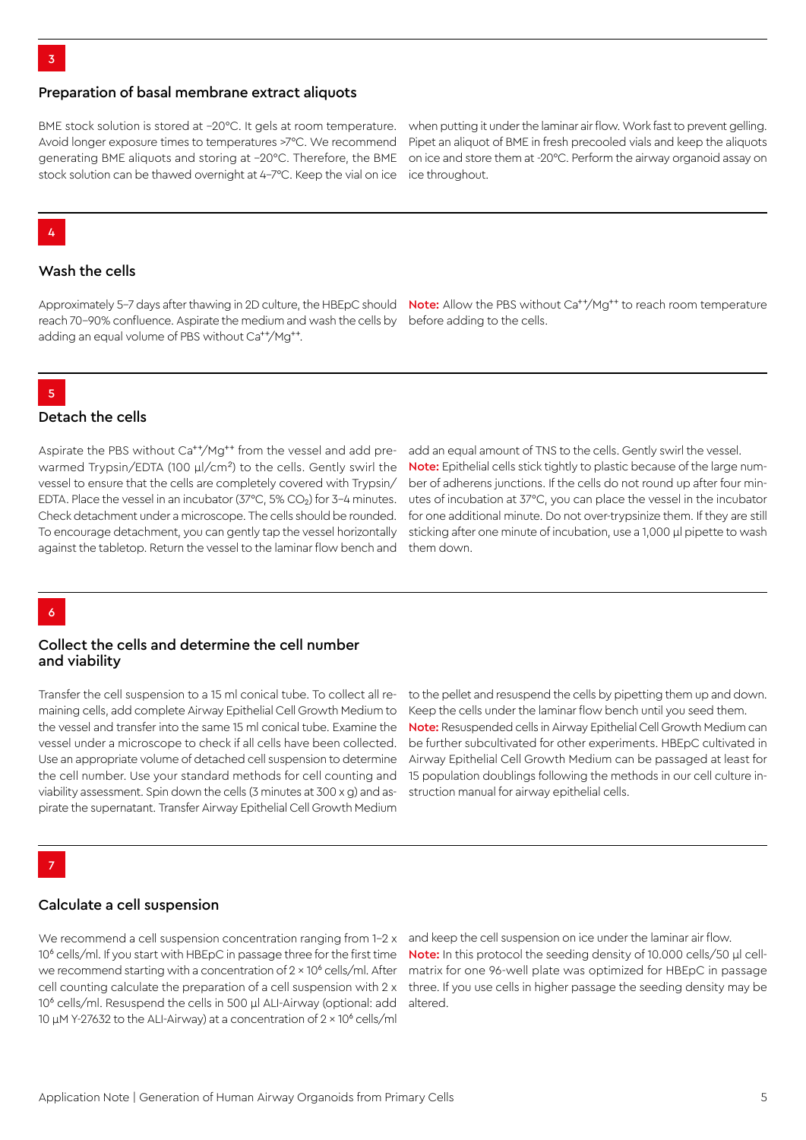#### Preparation of basal membrane extract aliquots

BME stock solution is stored at –20°C. It gels at room temperature. Avoid longer exposure times to temperatures >7°C. We recommend generating BME aliquots and storing at –20°C. Therefore, the BME stock solution can be thawed overnight at 4-7°C. Keep the vial on ice

when putting it under the laminar air flow. Work fast to prevent gelling. Pipet an aliquot of BME in fresh precooled vials and keep the aliquots on ice and store them at -20°C. Perform the airway organoid assay on ice throughout.

#### 4

#### Wash the cells

reach 70-90% confluence. Aspirate the medium and wash the cells by before adding to the cells. adding an equal volume of PBS without Ca<sup>++</sup>/Mg<sup>++</sup>.

Approximately 5–7 days after thawing in 2D culture, the HBEpC should **Note:** Allow the PBS without Ca<sup>++</sup>/Mg<sup>++</sup> to reach room temperature

### 5

#### Detach the cells

Aspirate the PBS without Ca<sup>++</sup>/Mg<sup>++</sup> from the vessel and add prewarmed Trypsin/EDTA (100 µl/cm*²*) to the cells. Gently swirl the vessel to ensure that the cells are completely covered with Trypsin/ EDTA. Place the vessel in an incubator ( $37^{\circ}$ C,  $5\%$  CO<sub>2</sub>) for  $3-4$  minutes. Check detachment under a microscope. The cells should be rounded. To encourage detachment, you can gently tap the vessel horizontally against the tabletop. Return the vessel to the laminar flow bench and

add an equal amount of TNS to the cells. Gently swirl the vessel. Note: Epithelial cells stick tightly to plastic because of the large number of adherens junctions. If the cells do not round up after four minutes of incubation at 37°C, you can place the vessel in the incubator for one additional minute. Do not over-trypsinize them. If they are still sticking after one minute of incubation, use a 1,000 µl pipette to wash them down.

### 6

#### Collect the cells and determine the cell number and viability

Transfer the cell suspension to a 15 ml conical tube. To collect all remaining cells, add complete Airway Epithelial Cell Growth Medium to the vessel and transfer into the same 15 ml conical tube. Examine the vessel under a microscope to check if all cells have been collected. Use an appropriate volume of detached cell suspension to determine the cell number. Use your standard methods for cell counting and viability assessment. Spin down the cells (3 minutes at 300 x g) and aspirate the supernatant. Transfer Airway Epithelial Cell Growth Medium

to the pellet and resuspend the cells by pipetting them up and down. Keep the cells under the laminar flow bench until you seed them. Note: Resuspended cells in Airway Epithelial Cell Growth Medium can be further subcultivated for other experiments. HBEpC cultivated in Airway Epithelial Cell Growth Medium can be passaged at least for 15 population doublings following the methods in our cell culture instruction manual for airway epithelial cells.

## 7

### Calculate a cell suspension

We recommend a cell suspension concentration ranging from 1-2 x and keep the cell suspension on ice under the laminar air flow. 10<sup>6</sup> cells/ml. If you start with HBEpC in passage three for the first time we recommend starting with a concentration of  $2 \times 10^6$  cells/ml. After cell counting calculate the preparation of a cell suspension with 2 x 10<sup>6</sup> cells/ml. Resuspend the cells in 500 ul ALI-Airway (optional: add 10 uM Y-27632 to the ALI-Airway) at a concentration of 2 × 10<sup>6</sup> cells/ml

Note: In this protocol the seeding density of 10.000 cells/50 µl cellmatrix for one 96-well plate was optimized for HBEpC in passage three. If you use cells in higher passage the seeding density may be altered.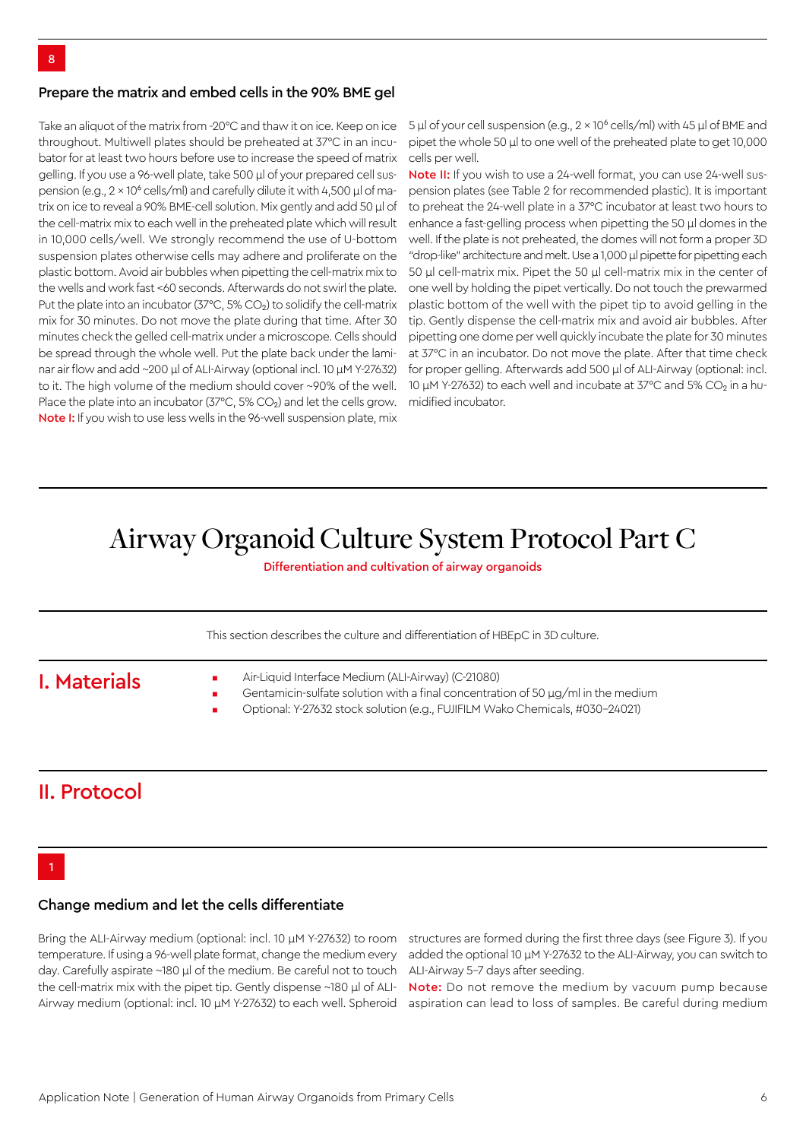#### Prepare the matrix and embed cells in the 90% BME gel

Take an aliquot of the matrix from -20°C and thaw it on ice. Keep on ice throughout. Multiwell plates should be preheated at 37°C in an incubator for at least two hours before use to increase the speed of matrix gelling. If you use a 96-well plate, take 500 µl of your prepared cell suspension (e.g.,  $2 \times 10^6$  cells/ml) and carefully dilute it with 4,500  $\mu$ l of matrix on ice to reveal a 90% BME-cell solution. Mix gently and add 50 µl of the cell-matrix mix to each well in the preheated plate which will result in 10,000 cells/well. We strongly recommend the use of U-bottom suspension plates otherwise cells may adhere and proliferate on the plastic bottom. Avoid air bubbles when pipetting the cell-matrix mix to the wells and work fast <60 seconds. Afterwards do not swirl the plate. Put the plate into an incubator (37°C, 5% CO<sub>2</sub>) to solidify the cell-matrix mix for 30 minutes. Do not move the plate during that time. After 30 minutes check the gelled cell-matrix under a microscope. Cells should be spread through the whole well. Put the plate back under the laminar air flow and add ~200 µl of ALI-Airway (optional incl. 10 µM Y-27632) to it. The high volume of the medium should cover ~90% of the well. Place the plate into an incubator (37°C, 5% CO<sub>2</sub>) and let the cells grow. Note I: If you wish to use less wells in the 96-well suspension plate, mix

5 µl of your cell suspension (e.g., 2 × 10<sup>6</sup> cells/ml) with 45 µl of BME and pipet the whole 50 µl to one well of the preheated plate to get 10,000 cells per well.

Note II: If you wish to use a 24-well format, you can use 24-well suspension plates (see Table 2 for recommended plastic). It is important to preheat the 24-well plate in a 37°C incubator at least two hours to enhance a fast-gelling process when pipetting the 50 µl domes in the well. If the plate is not preheated, the domes will not form a proper 3D "drop-like" architecture and melt. Use a 1,000 µl pipette for pipetting each 50 µl cell-matrix mix. Pipet the 50 µl cell-matrix mix in the center of one well by holding the pipet vertically. Do not touch the prewarmed plastic bottom of the well with the pipet tip to avoid gelling in the tip. Gently dispense the cell-matrix mix and avoid air bubbles. After pipetting one dome per well quickly incubate the plate for 30 minutes at 37°C in an incubator. Do not move the plate. After that time check for proper gelling. Afterwards add 500 µl of ALI-Airway (optional: incl. 10  $\mu$ M Y-27632) to each well and incubate at 37°C and 5% CO<sub>2</sub> in a humidified incubator.

# Airway Organoid Culture System Protocol Part C

Differentiation and cultivation of airway organoids

This section describes the culture and differentiation of HBEpC in 3D culture.

## I. Materials

- Air-Liquid Interface Medium (ALI-Airway) (C-21080)
- Gentamicin-sulfate solution with a final concentration of 50  $\mu$ g/ml in the medium
- Optional: Y-27632 stock solution (e.g., FUJIFILM Wako Chemicals, #030-24021)

## II. Protocol

### 1

#### Change medium and let the cells differentiate

temperature. If using a 96-well plate format, change the medium every day. Carefully aspirate ~180 µl of the medium. Be careful not to touch the cell-matrix mix with the pipet tip. Gently dispense ~180 ul of ALI-

Bring the ALI-Airway medium (optional: incl. 10 µM Y-27632) to room structures are formed during the first three days (see Figure 3). If you added the optional 10 µM Y-27632 to the ALI-Airway, you can switch to ALI-Airway 5-7 days after seeding.

Airway medium (optional: incl. 10 µM Y-27632) to each well. Spheroid aspiration can lead to loss of samples. Be careful during medium Note: Do not remove the medium by vacuum pump because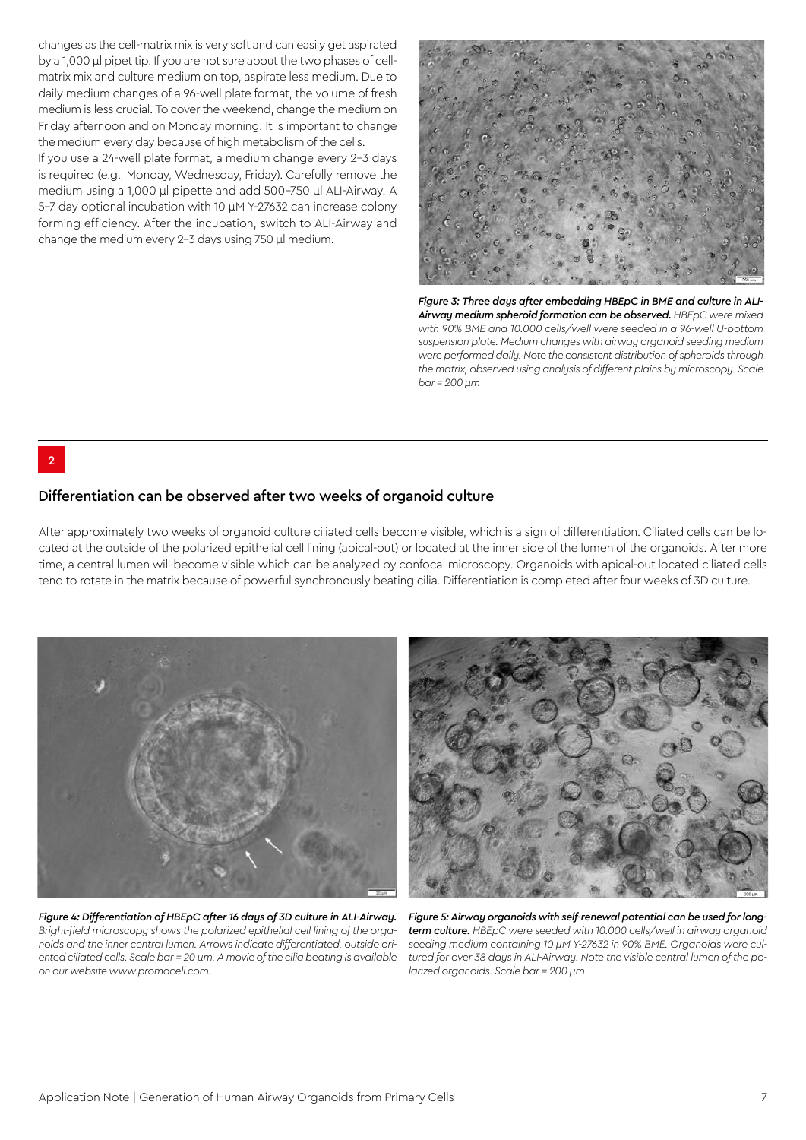changes as the cell-matrix mix is very soft and can easily get aspirated by a 1,000 µl pipet tip. If you are not sure about the two phases of cellmatrix mix and culture medium on top, aspirate less medium. Due to daily medium changes of a 96-well plate format, the volume of fresh medium is less crucial. To cover the weekend, change the medium on Friday afternoon and on Monday morning. It is important to change the medium every day because of high metabolism of the cells.

If you use a 24-well plate format, a medium change every 2-3 days is required (e.g., Monday, Wednesday, Friday). Carefully remove the medium using a 1,000 µl pipette and add 500-750 µl ALI-Airway. A 5-7 day optional incubation with 10 µM Y-27632 can increase colony forming efficiency. After the incubation, switch to ALI-Airway and change the medium every 2-3 days using 750 µl medium.



*Figure 3: Three days after embedding HBEpC in BME and culture in ALI-Airway medium spheroid formation can be observed. HBEpC were mixed with 90% BME and 10.000 cells/well were seeded in a 96-well U-bottom suspension plate. Medium changes with airway organoid seeding medium were performed daily. Note the consistent distribution of spheroids through the matrix, observed using analysis of different plains by microscopy. Scale bar = 200 µm*

2

#### Differentiation can be observed after two weeks of organoid culture

After approximately two weeks of organoid culture ciliated cells become visible, which is a sign of differentiation. Ciliated cells can be located at the outside of the polarized epithelial cell lining (apical-out) or located at the inner side of the lumen of the organoids. After more time, a central lumen will become visible which can be analyzed by confocal microscopy. Organoids with apical-out located ciliated cells tend to rotate in the matrix because of powerful synchronously beating cilia. Differentiation is completed after four weeks of 3D culture.



*Figure 4: Differentiation of HBEpC after 16 days of 3D culture in ALI-Airway. Bright-field microscopy shows the polarized epithelial cell lining of the organoids and the inner central lumen. Arrows indicate differentiated, outside oriented ciliated cells. Scale bar = 20 µm. A movie of the cilia beating is available on our website www.promocell.com.* 



*Figure 5: Airway organoids with self-renewal potential can be used for longterm culture. HBEpC were seeded with 10.000 cells/well in airway organoid seeding medium containing 10 µM Y-27632 in 90% BME. Organoids were cultured for over 38 days in ALI-Airway. Note the visible central lumen of the polarized organoids. Scale bar = 200 µm*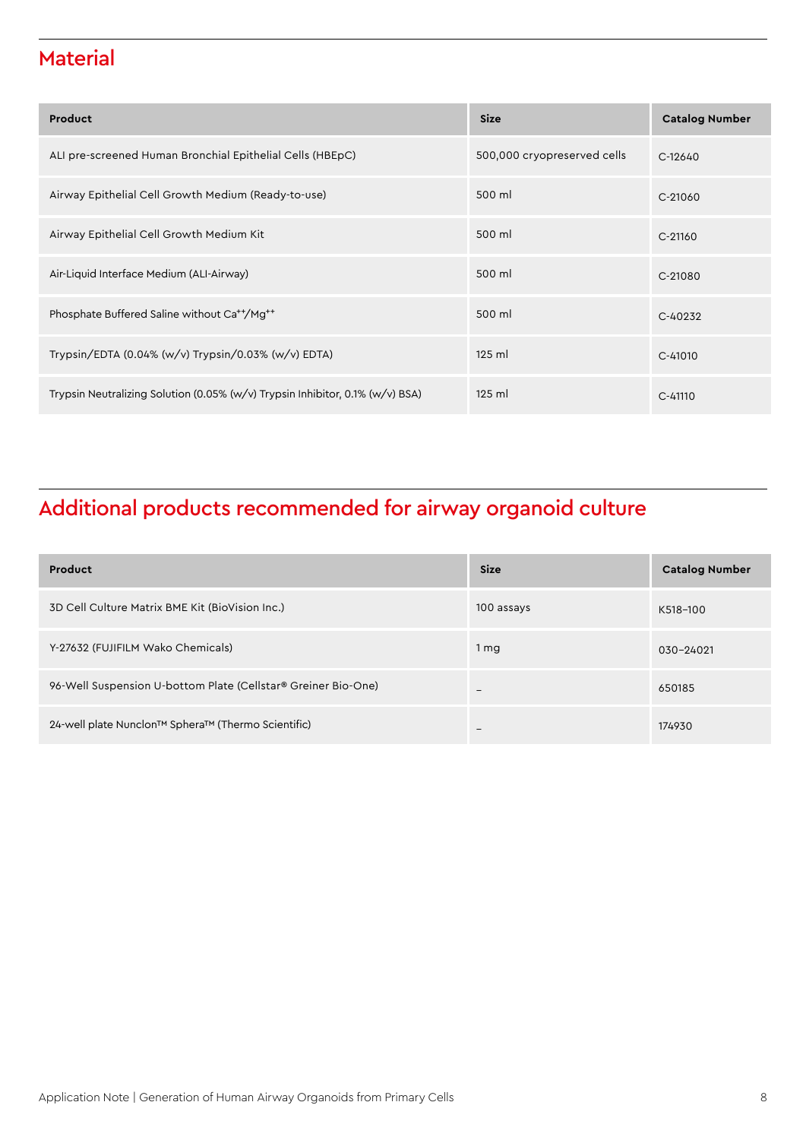## **Material**

| Product                                                                           | <b>Size</b>                 | <b>Catalog Number</b> |
|-----------------------------------------------------------------------------------|-----------------------------|-----------------------|
| ALI pre-screened Human Bronchial Epithelial Cells (HBEpC)                         | 500,000 cryopreserved cells | $C-12640$             |
| Airway Epithelial Cell Growth Medium (Ready-to-use)                               | 500 ml                      | C-21060               |
| Airway Epithelial Cell Growth Medium Kit                                          | 500 ml                      | $C-21160$             |
| Air-Liquid Interface Medium (ALI-Airway)                                          | 500 ml                      | $C-21080$             |
| Phosphate Buffered Saline without Ca <sup>++</sup> /Mg <sup>++</sup>              | 500 ml                      | $C-40232$             |
| Trypsin/EDTA (0.04% (w/v) Trypsin/0.03% (w/v) EDTA)                               | $125$ ml                    | $C-41010$             |
| Trypsin Neutralizing Solution (0.05% $(w/v)$ Trypsin Inhibitor, 0.1% $(w/v)$ BSA) | $125$ ml                    | $C - 41110$           |

# Additional products recommended for airway organoid culture

| Product                                                       | <b>Size</b>              | <b>Catalog Number</b> |
|---------------------------------------------------------------|--------------------------|-----------------------|
| 3D Cell Culture Matrix BME Kit (BioVision Inc.)               | 100 assays               | K518-100              |
| Y-27632 (FUJIFILM Wako Chemicals)                             | 1 <sub>mg</sub>          | 030-24021             |
| 96-Well Suspension U-bottom Plate (Cellstar® Greiner Bio-One) | $\overline{\phantom{0}}$ | 650185                |
| 24-well plate Nunclon™ Sphera™ (Thermo Scientific)            | -                        | 174930                |